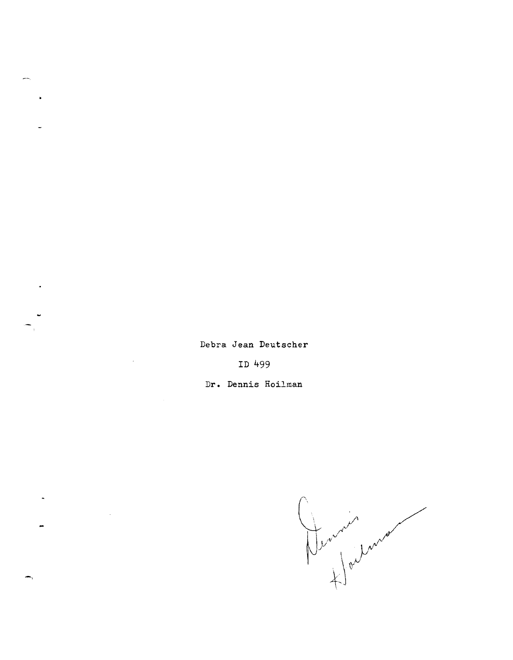Debra Jean Deutscher

ID 499

Dr. Dennis Hoilman

-,

 $\ddot{\phantom{1}}$ 

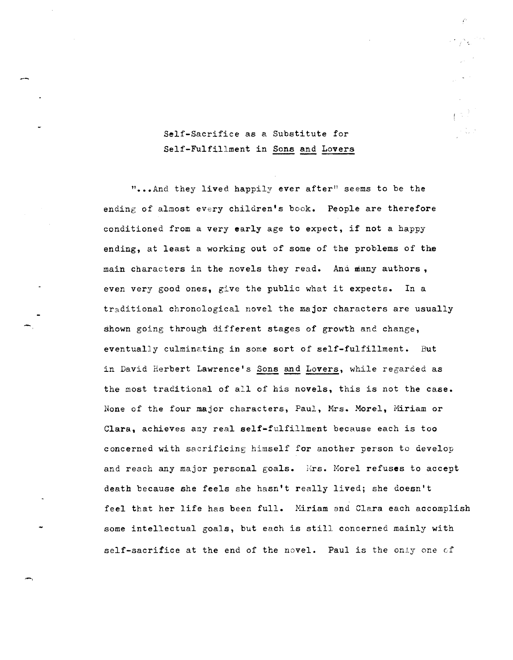## Self-Sacrifice as a Substitute for Self-Fulfillment in Sons and Lovers

in Avec

"...And they lived happily ever after" seems to be the ending of almost every children's book. People are therefore conditioned from a very early age to expect, if not a happy ending, at least a working out of some of the problems of the main characters in the novels they read. And many authors, even very good ones, give the public what it expects. In a traditional chronological novel the major characters are usually shown going through different stages of growth anc change, eventually culmineting in some sort of self-fulfillment. But in David Herbert Lawrence's Sons and Lovers, while regarded as the most traditional of all of his novels, this is not the case. None of the four major characters, Paul, Mrs. Morel, Miriam or Clara, achieves any real self-fulfillment because each is too concerned with sacrificing himself for another person to develop and reach any major personal goals. Mrs. Morel refuses to accept death because she feels she hasn't really lived; she doesn't feel that her life has been full. Miriam and Clara each accomplish some intellectual goals, but each is still concerned mainly with self-sacrifice at the end of the novel. Paul is the only one of

-,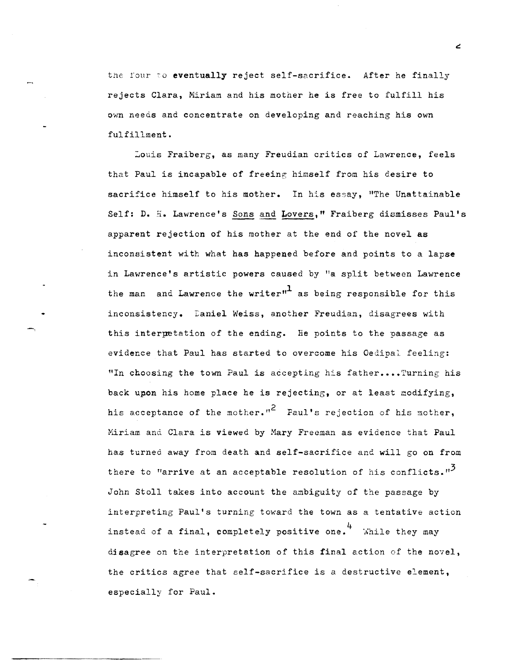the four to eventually reject self-sacrifice. After he finally rejects Clara, Miriam and his mother he is free to fulfill his own needs and concentrate on developing and reaching his own fulfillment.

Louis Fraiberg, as many Freudian critics of Lawrence, feels that Paul is incapable of freeing himself from his desire to sacrifice himself to his mother. In his essay, "The Unattainable Self: D. H. Lawrence's Sons and Lovers," Fraiberg dismisses Paul's apparent rejection of his mother at the end of the novel as inconsistent with what has happened before and points to a lapse in Lawrence's artistic powers caused by "a split between Lawrence the man and Lawrence the writer" as being responsible for this inconsistency. Laniel Weiss, another Freudian, disagrees with this interpetation of the ending. He points to the passage as evidence that Paul has started to overcome his Oedipal feeling: "In choosing the town Paul is accepting his father.... Turning his back upon his home place he is rejecting, or at least modifying, his acceptance of the mother."<sup>2</sup> Faul's rejection of his mother, Miriam and Clara is viewed by Mary Freeman as evidence that Paul has turned away from death and self-sacrifice and will go on from there to "arrive at an acceptable resolution of his conflicts."<sup>2</sup> John Stoll takes into account the ambiguity of the passage by interpreting Paul's turning toward the town as a tentative action instead of a final, completely positive one.  $4\atop$  While they may disagree on the interpretation of this final action of the novel, the critics agree that self-sacrifice is a destructive element, especially for Paul.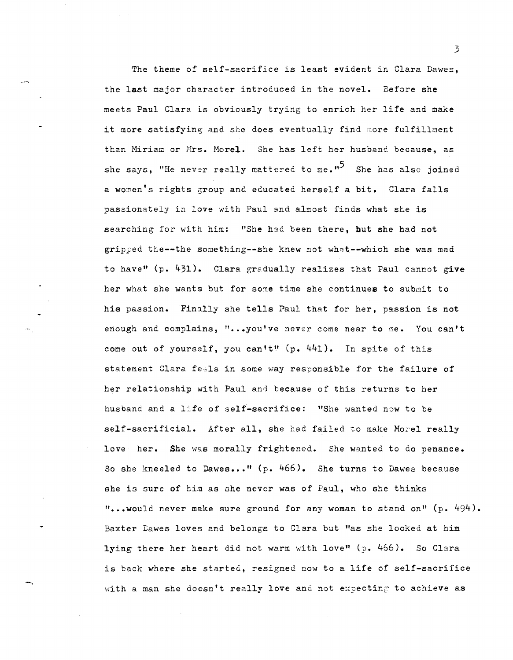The theme of self-sacrifice is least evident in Clara Dawes, the last major character introduced in the novel. Before she meets Paul Clara is obviously trying to enrich her life and make it more satisfying and she does eventually find more fulfillment than Miriam or Mrs. Morel. She has left her husband because, as she says, "He never really mattered to me."<sup>5</sup> She has also joined a women's rights group and educated herself a bit. Clara falls passionately in love with Paul and almost finds what she is searching for with him: "She had been there, but she had not gripped the--the something--she knew not what--which she was mad to haven *(p.* 431). Clara gredually realizes that Paul cannot give her what she wants but for some time she continues to submit to his passion. Finally she tells Paul that for her, passion is not enough and complains, "...you've never come near to me. You can't come out of yourself, you can't" (p. 441). In spite of this statement Clara feels in some way responsible for the failure of her relationship with Paul and because of this returns to her husband and a life of self-sacrifice: "She wanted now to be self-sacrificial. After all, she had failed to make Morel really love her. She was morally frightened. She wanted to do penance. So she kneeled to Dawes ••• " *(p.* 466). She turns to Dawes because she is sure of him as she never was of Paul, who she thinks "...would never make sure ground for any woman to stand on"  $(p. 494)$ . Baxter Dawes loves and belongs to Clara but "as she looked at him lying there her heart did not warm with love" (p.  $466$ ). So Clara is back where she startec, resigned now to a life of self-sacrifice with a man she doesn't really love and not expecting to achieve as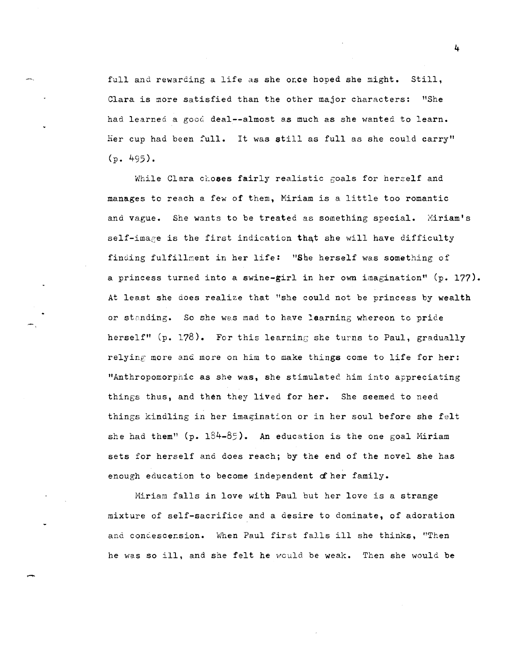full and rewarding a life as she once hoped she might. Still, Clara is more satisfied than the other major characters: "She had learned a good deal--almost as much as she wanted to learn. Her cup had been full. It was still as full as she could carry" (p. 495).

While Clara choses fairly realistic goals for herzelf and manages to reach a few of them, Miriam is a little too romantic and vague. She wants to be treated as something special. Miriam's self-image is the first indication that she will have difficulty finding fulfillment in her life: "She herself was something of a princess turned into a swine-girl in her own imagination" (p. 177). At least she does realize that "she could not be princess by wealth or standing. So she was mad to have learning whereon to pride herself" (p. 178). For this learning she turns to Paul, gradually relying more and more on him to make things come to life for her: "Anthropomorphic as she was, she stimulated him into appreciating things thus, and then they lived for her. She seemed to need things kindling in her imagination or in her soul before she felt she had them" (p.  $184-85$ ). An education is the one goal Miriam sets for herself and does reach; by the end of the novel she has enough education to become independent of her family.

Hiriam falls in love with Paul but her love is a strange mixture of self-sacrifice and a desire to dominate, of adoration and condescension. When Paul first falls ill she thinks, "Then he was so ill, and she felt he would be weak. Then she would be

-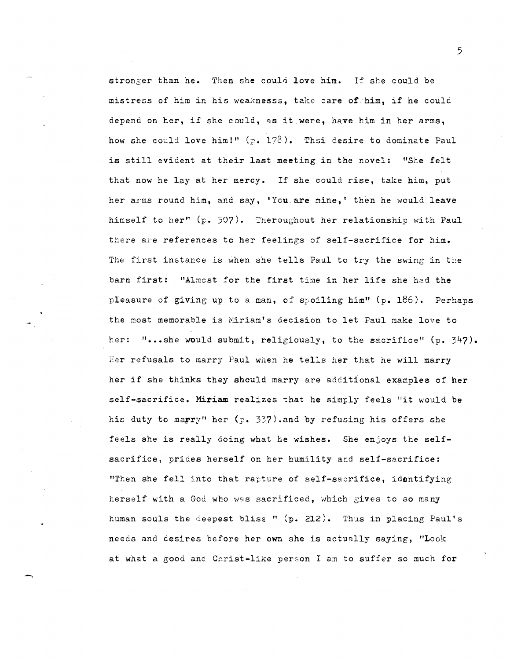stronser than he. Then she could love him. If she could be mistress of him in his weaknesss, take care of him, if he could depend on her, if she could, as it were, have him in her arms, how she could love him!" *(p.* 172). Thsi desire to dominate Paul is still evident at their last meeting in the novel: "She felt that now he lay at her mercy. If she could rise, take him, put her arms round him, and say, 'You are mine,' then he would leave himself to her" *(F.* 507). Theroughout her relationship with Paul there are references to her feelings of self-sacrifice for him. The first instance is when she tells Paul to try the swing in the barn first: "Almost for the first time in her life she had the pleasure of giving up to a man, of spoiling him" (p. 186). Perhaps the most memorable is Miriam's decision to let Paul make love to her: "...she would submit, religiously, to the sacrifice"  $(p. 347)$ . Eer refusals to marry Paul when he tells her that he will marry her if she thinks they should marry are additional examples of her self-sacrifice. Hiriam realizes that he simply feels "it would be his duty to marry" her (p. 337) and by refusing his offers she feels she is really doing what he wishes. She enjoys the selfsacrifice, prides herself on her humility ard self-sacrifice: "Then she fell into that rapture of self-sacrifice, identifying herself with a God who *was* sacrificed, which gives to so many human souls the deepest bliss" (p. 212). Thus in placing Paul's needs and cesires before her own she is actually saying, "Look at what a good and Christ-like person I am to suffer so much for

-,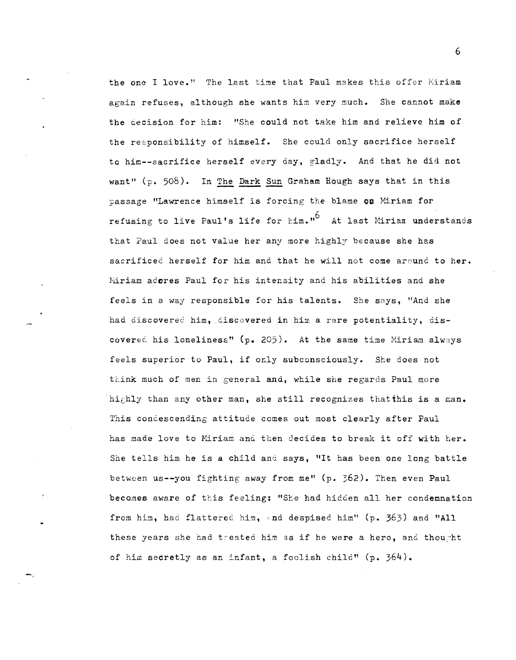the one I love." The last time that Paul makes this offer Miriam again refuses, although she wants him very much. She cannot make the decision for him: "She could not take him and relieve him of the responsibility of himself. She could only sacrifice herself to him--sacrifice herself every day, gladly. And that he did not want" (p.  $508$ ). In The Dark Sun Graham Hough says that in this passage "Lawrence himself is forcing the blame **on** Hiriam for refusing to live Paul's life for  $\text{lim.}^{16}$  At last Miriam understands that Paul does not value her any more highly because she has sacrificed herself for him and that he will not come around to her. hiriam adores Paul for his intensity and his abilities and she feels in a way responsible for his talents. She says, "And she had discovered him, discovered in him a rare potentiality, discovered his loneliness" (p. 205). At the same time Miriam always feels superior to Paul, if only subconsciously. She does not think much of men in general and, while she regards Paul more highly than any other man, she still recognizes that this is a man. This condescending attitude comes out most clearly after Paul has made love to Miriam and then decides to break it off with her. She tells him he is a child and says, "It has been one long battle between us--you fighting away from me" (p.  $562$ ). Then even Paul becomes aware of this feeling: "She had hidden all her condemnation from him, had flattered him, and despised him" (p. 363) and "All these years she had treated him as if he were a hero, and thought of him secretly as an infant, a foolish child" (p. 364).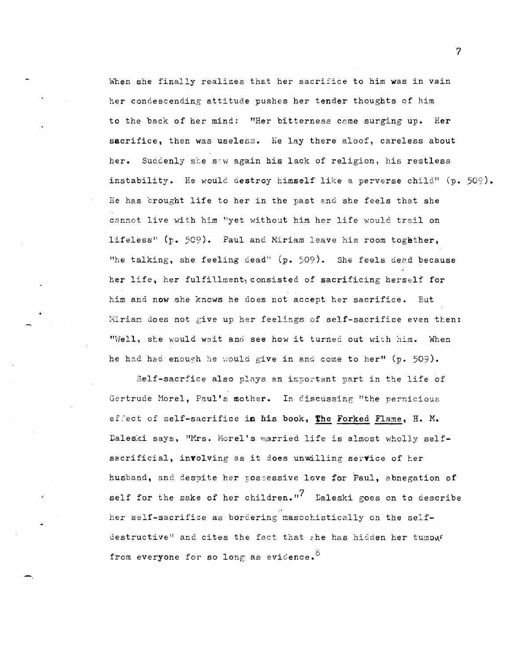When she finally realizes that her sacrifice to him was in vain her condescending attitude pushes her tender thoughts of him to the back of her mind.: "Her bitterness came surging up. Her sacrifice, then was useless. He lay there aloof, careless about her. Suddenly she saw again his lack of religion, his restless instability. He would destroy himself like a perverse child" (p. 509). He has brought life to her in the past and she feels that she cannot live with him "yet without him her life would trail on lifeless" (p. 509). Paul and Miriam leave his room together, "he talking, she feeling dead"  $(p. 509)$ . She feels deed because her life, her fulfillment) consisted of sacrificing herself for him and now she knows he does not accept her sacrifice. But Mirian does not give up her feelings of self-sacrifice even then: "Well, she would wait and see how it turned out with him. When he had had enough he would give in and come to her" (p. 509).

Self-sacrfice also plays an important part in the life of Gertrude Morel, Paul's mother. In discussing "the pernicious ef :'ect of self-sacrifice in his book, **the** Forked Flame, H. M. Daleski says, "Mrs. Morel's married life is almost wholly selfsacrificial, involving as it does unwilling service of her husband, and despite her possessive love for Paul, abnegation of self for the sake of her children."<sup>7</sup> Daleski goes on to describe her self-sacrifice as bordering masochistically on the selfdestructive" and cites the fact that she has hidden her tumouf from everyone for so long as evidence.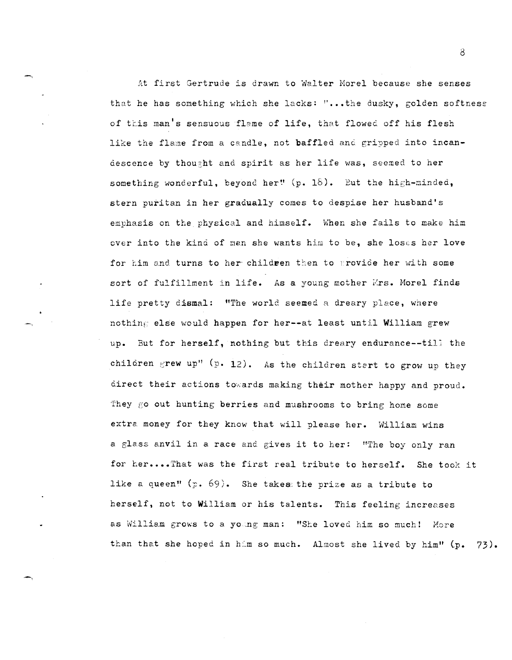At first Gertrude is drawn to Walter Morel because she senses that he has something which she lacks:  $\mathbf{F} \cdot \mathbf{F}$  the dusky, golden softness of this man's sensuous flame of life, that flowed off his flesh like the flame from a candle, not baffled and gripped into incandescence by thou~ht and spirit as her life was, seemed to her something wonderful, beyond her! (p. 18). But the high-minded, stern puritan in her gradually comes to despise her husband's emphasis on the physical and himself. When she fails to make him over into the kind of man she wants him to be, she loses her love for him and turns to her children then to provide her with some sort of fulfillment in life. As a young mother Wrs. Morel finds life pretty dismal: "The world seemed a dreary place, where nothing else would happen for her--at least until William grew up. But for herself, nothing but this dreary endurance--till the children grew up" (p. 12). As the children stert to grow up they direct their actions towards making their mother happy and proud. They go out hunting berries and mushrooms to bring home some extra money for they know that will please her. William wins a glass anvil in a race and gives it to her: "The boy only ran for her....That was the first real tribute to herself. She took it like a queen" *(F.* 69). She takes: the prize as a tribute to herself, not to William or his talents. This feeling increases as William grows to a young man: "She loved him so much! More than that she hoped in him so much. Almost she lived by him"  $(p. 73)$ .

8

'-,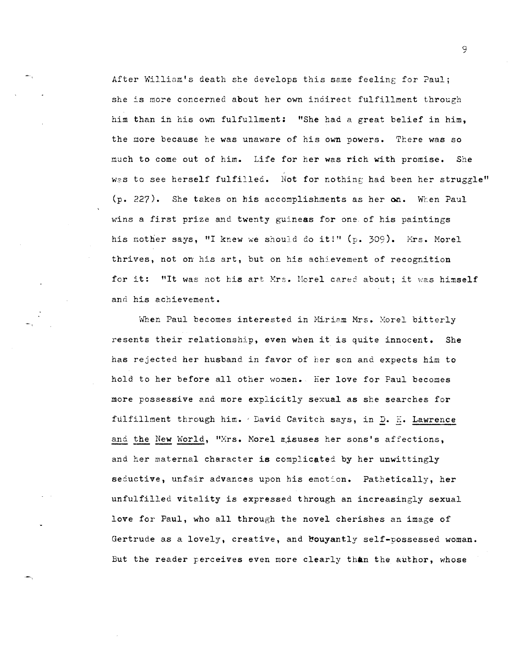After William's death she develops this same feeling for Paul; she is more concerned about her own indirect fulfillment through him than in his own fulfullment: "She had a great belief in him, the more because he was unaware of his own powers. There was so mach to come out of him. Life for her was rich with promise. She was to see herself fulfilled. Not for nothing had been her struggle" (p. 227). She takes on *his* accomplishments as her **00..** WLen Paul wins a *first* prize and twenty guineas for one of *his* paintings his mother says, "I knew we should do it!" (p. 309). Mrs. Morel thrives, not on his art, but on his achievement of recognition for it: "It was not his art Mrs. Morel cared about; it was himself and his achievement.

When Paul becomes interested in Miriam Mrs. Morel bitterly resents their relationship, even when it is quite innocent. She has rejected her husband in favor of her son and expects him to hold to her before all other women. Eer love for Paul becomes more possessive and more explicitly sexual as she searches for fulfillment through him. 'David Cavitch says, in D. F. Lawrence and the New World, "Mrs. Morel misuses her sons's affections, and her maternal character is complicated by her unwittingly seductive, unfair advances upon his emotion. Pathetically, her unfulfilled vitality is expressed through an increasingly sexual love for Paul, who all through the novel cherishes an image of Gertrude as a lovely, creative, and bouyantly self-possessed woman. But the reader perceives even more clearly than the author, whose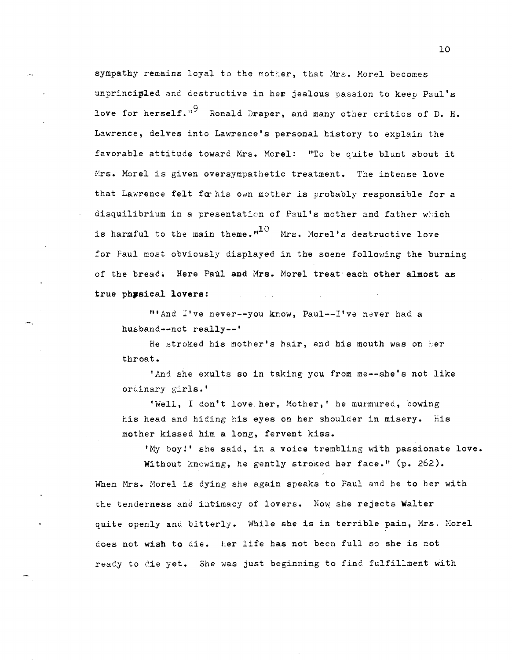sympathy remains loyal to the mother, that Mrs. Morel becomes unprincipled and destructive in her jealous passion to keep Paul's love for herself." $^9$  Ronald Draper, and many other critics of D. H. Lawrence, delves into Lawrence's personal history to explain the favorable attitude toward Mrs. Morel: "To be quite blunt about it Mrs. Morel is given oversympathetic treatment. The intense love that Lawrence felt for his own mother is probably responsible for a disquilibrium in a presentation of Paul's mother and father which is harmful to the main theme. $1^{10}$  Mrs. Morel's destructive love for Paul most obviously displayed in the scene following the burning of the bread. Here Paul and Mrs. Morel treat each other almost as true physical lovers:

"'And I've never--you know, Paul--I've never had a husband--not really--'

.\_,

He stroked his mother's hair, and his mouth was on her throat.

'And she exults so in taking you from me--she's not like ordinary girls.'

'Well, I don't love her, Mother,' he murmured, bowing his head and hiding his eyes on her shoulder in misery. His mother kissed him a long, fervent kiss.

'My boy!' she said, in a voice trembling with passionate love. Without knowing, he gently stroked her face." (p. 262). When Mrs. Morel is dying she again speaks to Paul and he to her with the tenderness and intimacy of lovers. Now she rejects Walter quite openly and bitterly. While she is in terrible pain, Mrs. Morel does not wish to die. Eer life has not been full so she is not ready to die yet. She was just beginning to find fulfillment with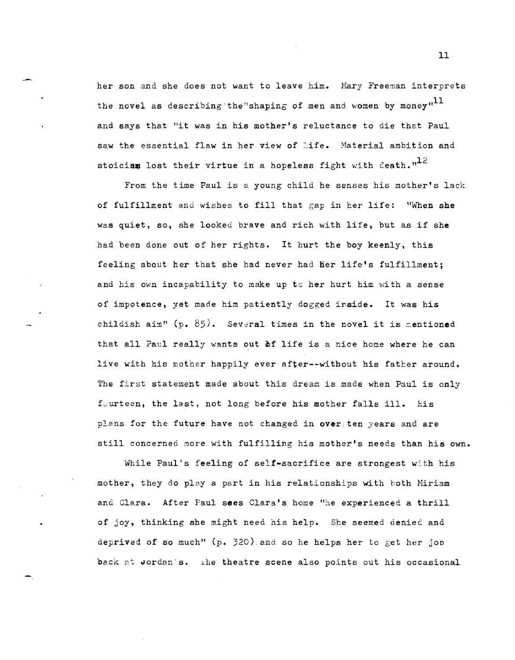her son and she does not want to leave him. Mary Freeman interprets the novel as describing the "shaping of men and women by money" $11$ and says that "it was in his mother's reluctance to die that Paul saw the essential flaw in her view of life. Material ambition and stoicism lost their virtue in a hopeless fight with death.  $n^{12}$ 

From the time Paul is a young child he senses his mother's lack of fulfillment and wishes to fill that gap in her life: "When she was quiet, so, she looked brave and rich with life, but as if she had been done out of her rights. It hurt the boy keenly, this feeling about her that she had never had her life's fulfillment; and his own incapability to make up to her hurt him with a sense of impotence, yet made him patiently dogged irside. It was his childish aim" (p. 85). Several times in the novel it is mentioned that all Paul really wants out of life is a nice home where he can live with his mother happily ever after--without his father around. The first statement made about this dream is made when Paul is only fourteen, the last, not long before his mother falls ill. His plans for the future have not changed in over ten years and are still concerned more with fulfilling his mother's needs than his own.

While Paul's feeling of self-sacrifice are strongest with his mother, they do playa part in his relationships with both Hiriam and Clara. After Paul sees Clara's home "he experienced a thrill of joy, thinking she might need his help. She seemed denied and deprived of so much" (p. 320) and so he helps her to get her joo back at Jordan's. The theatre scene also points out his occasional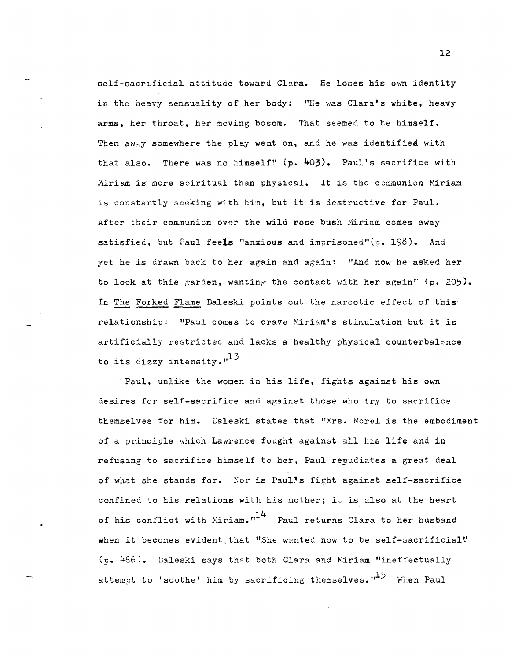self-sacrificial attitude toward Clara. He loses his own identity in the heavy sensuality of her body: "He was Clara's white, heavy arms, her throat, her moving bosom. That seemed to be himself. Then away somewhere the play went on, and he was identified with that also. There was no himself!' (p. 403). Paul's sacrifice with Miriam is more spiritual than physical. It is the communion Miriam is constantly seeking with him, but it is destructive for Paul. After their communion over the wild rose bush Miriam comes away satisfied, but Paul feels "anxious and imprisoned"(c. 198). And yet he is drawn back to her again and again: "And now he asked her to look at this garden, wanting the contact with her again"  $(p. 205)$ . In The Forked Flame Daleski points out the narcotic effect of this' relationship: "Paul comes to crave Niriam's stimulation but it is artificially restricted and lacks a healthy physical counterbalence to its dizzy intensity. $n^{13}$ 

'Paul, unlike the women in his life, fights against his own desires for self-sacrifice and against those who try to sacrifice themselves for him. Daleski states that "Mrs. Morel is the embodiment of a principle which Lawrence fought against all his life and in refusing to sacrifice himself to her, Paul repudiates a great deal of what she stands for. Nor is Paul's fight against self-sacrifice confined to his relations with his mother; it is also at the heart of his conflict with Miriam."<sup>14</sup> Paul returns Clara to her husband when it becomes evident that "She wanted now to be self-sacrificial" (p. 466). Daleski says that both Clara and Hiriam "ineffectually attempt to 'soothe' him by sacrificing themselves. $n^{15}$  When Paul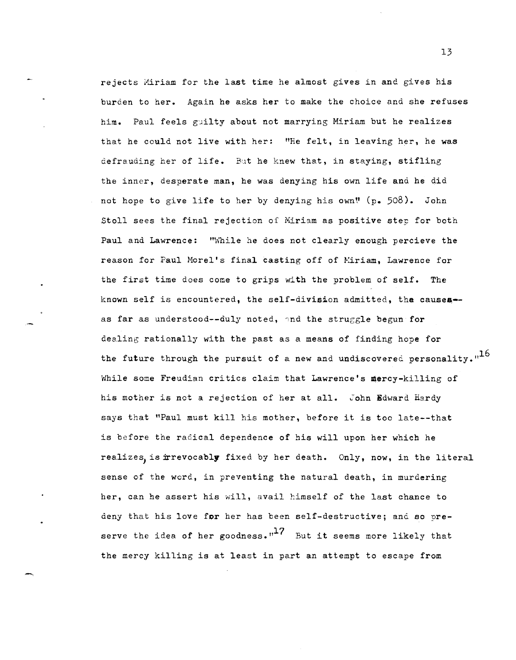rejects Miriam for the last time he almost gives in and gives his burden to her. Again he asks her to make the choice and she refuses him. Paul feels guilty about not marrying Miriam but he realizes that he could not live with her: "He felt, in leaving her, he was defrauding her of life. But he knew that, in staying, stifling the inner, desperate man, he was denying his own life and he did not hope to give life to her by denying his own! (p. 508). John Stoll sees the final rejection of Miriam as positive step for both Paul and Lawrence: "While he does not clearly enough percieve the reason for Paul Morel's final casting off of Miriam, Lawrence for the first time does come to grips with the problem of self. The known self is encountered, the self-division admitted, the causes-as far as understood--duly noted, and the struggle begun for dealing rationally with the past as a means of finding hope for the future through the pursuit of a new and undiscovered personality. $n^{16}$ While some Freudian critics claim that Lawrence's mercy-killing of his mother is not a rejection of her at all. John Edward Hardy says that "Paul must kill his mother, before it is too late--that is before the radical dependence of his will upon her which he realizes, is irrevocably fixed by her death. Only, now, in the literal sense of the word, in preventing the natural death, in murdering her, can he assert his will, avail himself of the last chance to deny that his love for her has been self-destructive; and so preserve the idea of her goodness." $17$  But it seems more likely that the mercy killing is at least in part an attempt to escape from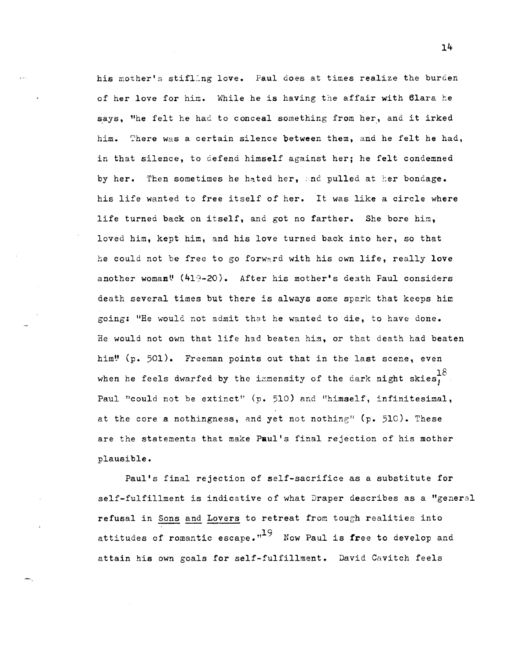his mother's stifling love. Paul does at times realize the burden of her love for him. While he is having the affair with Clara he says, "he felt he had to conceal something from her, and it irked him. There was a certain silence between them, and he felt he had, in that silence, to defend himself against her; he felt condemned by her. Then sometimes he hated her, and pulled at her bondage. his life wanted to free itself of her. It was like a circle where life turned back on itself, and got no farther. She bore him, loved him, kept him, and his love turned back into her, so that he could not be free to go forward with his own life, really love another woman! (419-20). After his mother's death Faul considers death several times but there is always some spark that keeps him going: "He would not admit that he wanted to die, to have done. He would not own that life had beaten him, or that death had beaten him!  $(p. 501)$ . Freeman points out that in the last scene, even when he feels dwarfed by the immensity of the dark night skies,  $18$ Paul "could not be extinct" (p. 510) and "himself, infinitesimal, at the core a nothingness, and yet not nothing"  $(p. 510)$ . These are the statements that make Paul's final rejection of his mother plausible.

Paul's final rejection of self-sacrifice as a substitute for self-fulfillment is indicative of what Draper describes as a "general refusal in Sons and Lovers to retreat from tough realities into attitudes of romantic escape. $n^{19}$  Now Paul is free to develop and attain his own goals for self-fulfillment. David Cavitch feels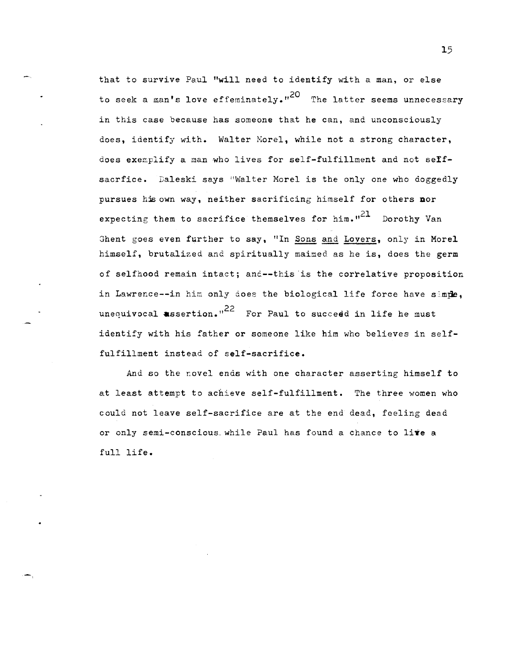that to survive Paul "will need to identify with a man, or else to seek a man's love effeminately."<sup>20</sup> The latter seems unnecessary in this case because has someone that he can, and unconsciously does, identify with. Walter Morel, while not a strong character, does exemplify a man who lives for self-fulfillment and not seIfsacrfice. Daleski says "Walter Morel is the only one who doggedly pursues his own way, neither sacrificing himself for others nor expecting them to sacrifice themselves for him. $n^{21}$  Dorothy Van Ghent goes even further to say, "In Sons and Lovers, only in Morel himself, brutalized and spiritually maimed as he is, does the germ of selfhood remain intact; anc--this'is the correlative proposition in Lawrence--in him only does the biological life force have simple. unequivocal assertion."<sup>22</sup> For Paul to succeed in life he must identify with his father or someone like him who believes in selffulfillment instead of self-sacrifice.

And so the novel ends with one character asserting himself to at least attempt to achieve self-fulfillment. The three women who could not leave self-sacrifice are at the end dead, feeling dead or only semi-conscious while Paul has found a chance to live a full life.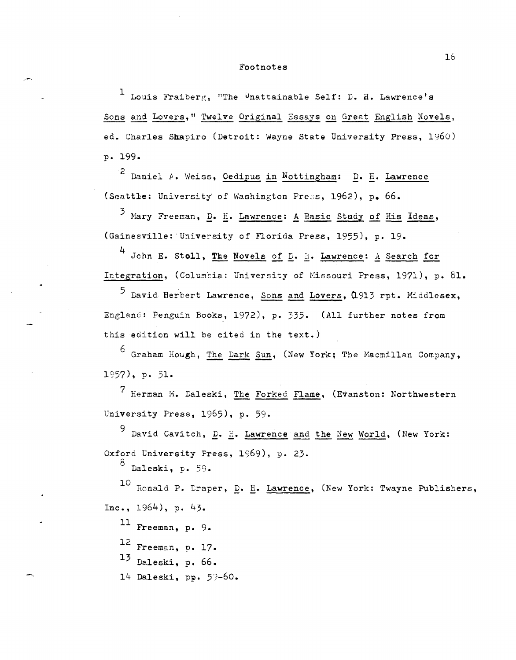## Footnotes

 $\mathbf{I}$ Louis Fraiberg, "The Unattainable Self: D. H. Lawrence's Sons and Lovers," Twelve Original Essays on Great English Novels, ed. Charles Shapiro (Detroit: Wayne State University Press. 1960) p. 199.

<sup>2</sup> Daniel A. Weiss, <u>Cedipus in Nottingham</u>: D. H. Lawrence (Seattle: University of Washington Press, 1962), p. 66.

<sup>3</sup> Mary Freeman, D. H. Lawrence: A Basic Study of His Ideas, (Gainesville: University of Florida Press, 1955), p. 19.

4 John E. Stoll, The Novels of D. A. Lawrence: A Search for Integration, (Columbia: University of Missouri Press, 1971), p. 81.

5 David Herbert Lawrence, Sons and Lovers, 0913 rpt. Middlesex, England: Penguin Books, 1972), p. 335. (All further notes from this edition will be cited in the text.)

<sup>6</sup> Graham Hough, The Dark Sun, (New York; The Macmillan Company,  $1957$ , p. 51.

<sup>7</sup> Herman M. Daleski, The Forked Flame, (Evanston: Northwestern University Press, 1965), p. 59.

<sup>9</sup> David Cavitch, <u>D</u>. H. Lawrence and the New World, (New York: Oxford University Press, 1969), p. 23.

Daleski, p. 59.

10 Ronald P. Draper, D. H. Lawrence, (New York: Twayne Publishers, Inc.,  $1964$ , p. 43.

11 Freeman, p. 9.

12 Freeman, p. 17.

 $13$  Daleski, p. 66.

14 Daleski, pp. 59-60.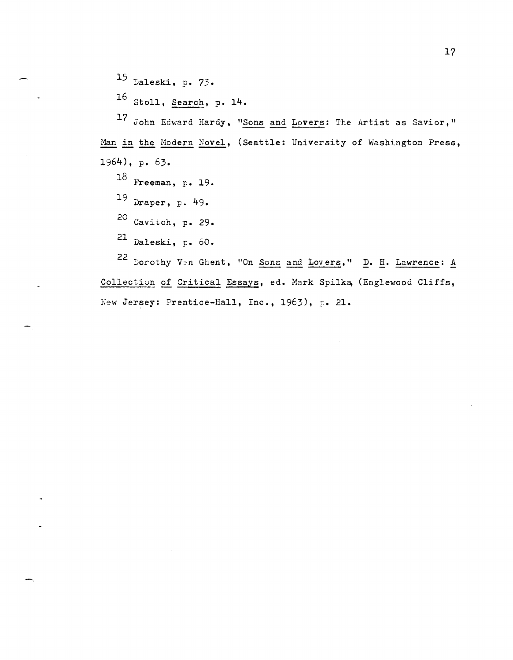15 Daleski, p. 73.

 $16$  Stoll, Search, p. 14.

17 John Edward Hardy, "Sons and Lovers: The Artist as Savior," Man in the Modern Novel, (Seattle: University of Washington Press, 1964), p. 63.

 $18$  Freeman, p. 19.

19 Draper, p. 49.

20 Cavitch, p. 29.

<sup>21</sup> Daleski, p.  $60.$ 

22 Dorothy Van Ghent, "On Sons and Lovers," D. H. Lawrence: A Collection of Critical Essays, ed. Mark Spilka, (Englewood Cliffs, New Jersey: Prentice-Hall, Inc., 1963), p. 21.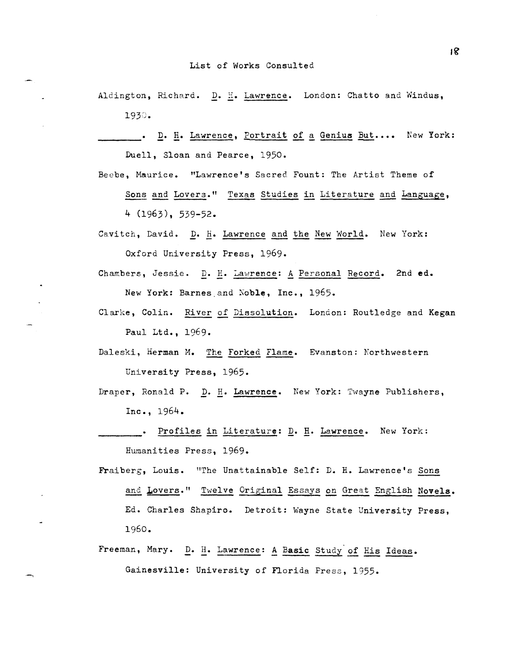- Aldington, Richard. D. H. Lawrence. London: Chatto and Windus, 1930.
- . D. H. Lawrence, Portrait of a Genius But.... New York: Duell, Sloan and Pearce, 1950.
- Beebe, Maurice. "Lawrence's Sacred Fount: The Artist Theme of Sons and Lovers." Texas Studies in Literature and Language,  $4(1963), 539-52.$
- Cavitch, David. D. H. Lawrence and the New World. New York: Oxford University Press, 1969.
- Chambers, Jessie. D. H. Lawrence: A Personal Record. 2nd ed. New York: Barnes and Noble, Inc., 1965.
- Clarke, Colin. River of Dissolution. London: Routledge and Kegan Paul Ltd., 1969.
- Daleski, Herman M. The Forked Flame. Evanston: Northwestern University Press, 1965.
- Draper, Ronald P. D. H. Lawrence. New York: Twayne Publishers, Inc., 1964.
- . Profiles in Literature: D. H. Lawrence. New York: Humanities Press, 1969.
- Fraiberg, Louis. "The Unattainable Self: D. H. Lawrence's Sons and Lovers." Twelve Original Essays on Great English Novels. Ed. Charles Shapiro. Detroit: Wayne State University Press, 1960.
- Freeman, Mary. D. H. Lawrence: A Basic Study of His Ideas. Gainesville: University of Florida Press, 1955.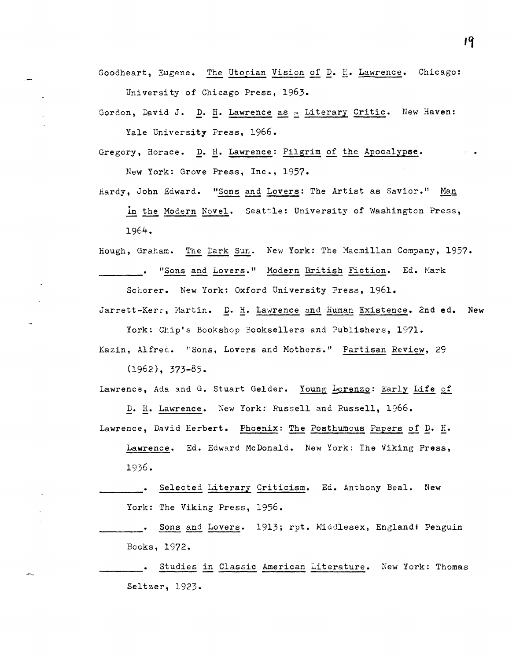Goodheart, Eugene. The Utopian Vision of D.  $E$ . Lawrence. Chicago: University of Chicago Press, 1963.

Gordon, David J. D. H. Lawrence as a Literary Critic. New Haven: Yale University Press, 1966.

Gregory, Horace. D. H. Lawrence: Pilgrim of the Apocalypse.

New York: Grove Press, Inc., 1957.

Hardy, John Edward. "Sons and Lovers: The Artist as Savior." Man

in the Modern Novel. Seattle: University of Washington Press, 1964.

Hough, Graham. The Dark Sun. New York: The Hacmillan Company, 1957. ... "Sons and Lovers." Modern British Fiction. Ed. Mark Schorer. New York: Oxford University Press, 1961.

Jarrett-Kerr, Martin. D. H. Lawrence and Human Existence. 2nd ed. New

York: Chip's Bookshop 300ksellers and Publishers, 1971. Kazin, Alfred. "Sons, Lovers and Mothers." Partisan Review, 29

(1962), 373-85.

Lawrence, Ada and G. Stuart Gelder. Young Lorenzo: Early Life of

Lawrence, David Herbert. Phoenix: The Posthumcus Papers of D. H.

D. H. Lawrence. Xew York: Russell and Russell, 1966.

Lawrence. Ed. Edward McDonald. New York: The Viking Press, 1936.

Selected Literary Criticism. Ed. Anthony Beal. New York: The Viking Press, 1956.

Sons and Lovers. 1913; rpt. Hiddlesex, Englandi Penguin Books, 1972.

. Studies in Classic American Literature. New York: Thomas Seltzer, 1923.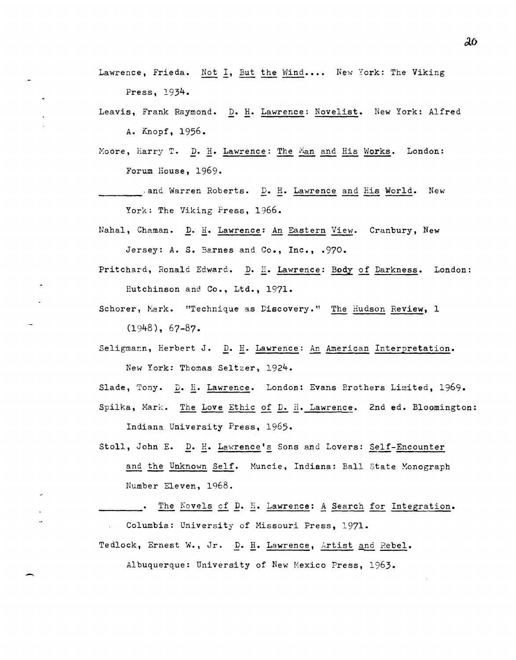Lawrence, Frieda. Not I, But the Wind.... New York: The Viking Press, 1934.

Leavis, Frank Raymond. D. H. Lawrence: Novelist. New York: Alfred A. Knopf, 1956.

Moore, Harry T. D. H. Lawrence: The Man and His Works. London: Forum House, 1969.

and Warren Roberts. D. H. Lawrence and His World. New York: The Viking Fress, 1966.

Nahal, Chaman. D. H. Lawrence: An Eastern View. Cranbury, New Jersey: A. S. Barnes and Co., Inc., .970.

- Pritchard, Ronald Edward. D. H. Lawrence: Body of Darkness. London: Hutchinson and Co., Ltd., 1971.
- Schorer, Mark. "Technique as Discovery." The Hudson Review, 1 (1948), 67-87.
- Seligmann, Herbert J. D. H. Lawrence: An American Interpretation. New York: Thomas Seltzer, 1924.

Slade, Tony. D. H. Lawrence. London: Evans Brothers Limited, 1969.

Spilka, Mark. The Love Ethic of D. H. Lawrence. 2nd ed. Bloomington: Indiana University Press, 1965.

Stoll, John E. D. H. Lawrence's Sons and Lovers: Self-Encounter and the Unknown Self. Muncie, Indiana: Ball state Monograph Number Eleven, 1968.

The Novels of D. H. Lawrence: A Search for Integration. Columbia: University of Hissouri Press, 1971.

Tedlock, Ernest W., Jr. D. H. Lawrence, Artist and Rebel.

Albuquerque: University of New Mexico Press, 1963.